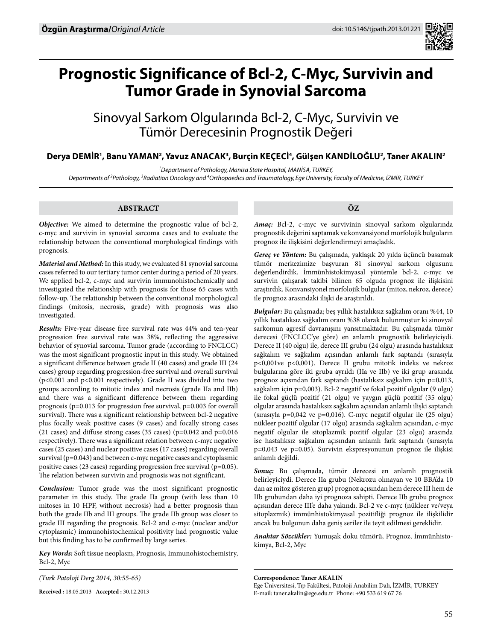

# **Prognostic Significance of Bcl-2, C-Myc, Survivin and Tumor Grade in Synovial Sarcoma**

Sinovyal Sarkom Olgularında Bcl-2, C-Myc, Survivin ve Tümör Derecesinin Prognostik Değeri

# Derya DEMİR<sup>1</sup>, Banu YAMAN<sup>2</sup>, Yavuz ANACAK<sup>3</sup>, Burçin KEÇECİ<sup>4</sup>, Gülşen KANDİLOĞLU<sup>2</sup>, Taner AKALIN<sup>2</sup>

*1 Department of Pathology, Manisa State Hospital, Manİsa, TURKEY,* 

*Departments of 2 Pathology, 3 Radiation Oncology and 4 Orthopaedics and Traumatology, Ege University, Faculty of Medicine, İZMİR, TURKEY*

## **ABSTRACT**

*Objective:* We aimed to determine the prognostic value of bcl-2, c-myc and survivin in synovial sarcoma cases and to evaluate the relationship between the conventional morphological findings with prognosis.

*Material and Method:* In this study, we evaluated 81 synovial sarcoma cases referred to our tertiary tumor center during a period of 20 years. We applied bcl-2, c-myc and survivin immunohistochemically and investigated the relationship with prognosis for those 65 cases with follow-up. The relationship between the conventional morphological findings (mitosis, necrosis, grade) with prognosis was also investigated.

*Results:* Five-year disease free survival rate was 44% and ten-year progression free survival rate was 38%, reflecting the aggressive behavior of synovial sarcoma. Tumor grade (according to FNCLCC) was the most significant prognostic input in this study. We obtained a significant difference between grade II (40 cases) and grade III (24 cases) group regarding progression-free survival and overall survival (p<0.001 and p<0.001 respectively). Grade II was divided into two groups according to mitotic index and necrosis (grade IIa and IIb) and there was a significant difference between them regarding prognosis (p=0.013 for progression free survival, p=0.003 for overall survival). There was a significant relationship between bcl-2 negative plus focally weak positive cases (9 cases) and focally strong cases (21 cases) and diffuse strong cases (35 cases) (p=0.042 and p=0.016 respectively). There was a significant relation between c-myc negative cases (25 cases) and nuclear positive cases (17 cases) regarding overall survival (p=0.043) and between c-myc negative cases and cytoplasmic positive cases (23 cases) regarding progression free survival (p=0.05). The relation between survivin and prognosis was not significant.

*Conclusion:* Tumor grade was the most significant prognostic parameter in this study. The grade IIa group (with less than 10 mitoses in 10 HPF, without necrosis) had a better prognosis than both the grade IIb and III groups. The grade IIb group was closer to grade III regarding the prognosis. Bcl-2 and c-myc (nuclear and/or cytoplasmic) immunohistochemical positivity had prognostic value but this finding has to be confirmed by large series.

*Key Words:* Soft tissue neoplasm, Prognosis, Immunohistochemistry, Bcl-2, Myc

*(Turk Patoloji Derg 2014, 30:55-65)*

**Received :** 18.05.2013 **Accepted :** 30.12.2013

**ÖZ**

*Amaç:* Bcl-2, c-myc ve survivinin sinovyal sarkom olgularında prognostik değerini saptamak ve konvansiyonel morfolojik bulguların prognoz ile ilişkisini değerlendirmeyi amaçladık.

*Gereç ve Yöntem:* Bu çalışmada, yaklaşık 20 yılda üçüncü basamak tümör merkezimize başvuran 81 sinovyal sarkom olgusunu değerlendirdik. İmmünhistokimyasal yöntemle bcl-2, c-myc ve survivin çalışarak takibi bilinen 65 olguda prognoz ile ilişkisini araştırdık. Konvansiyonel morfolojik bulgular (mitoz, nekroz, derece) ile prognoz arasındaki ilişki de araştırıldı.

*Bulgular:* Bu çalışmada; beş yıllık hastalıksız sağkalım oranı %44, 10 yıllık hastalıksız sağkalım oranı %38 olarak bulunmuştur ki sinovyal sarkomun agresif davranışını yansıtmaktadır. Bu çalışmada tümör derecesi (FNCLCC'ye göre) en anlamlı prognostik belirleyiciydi. Derece II (40 olgu) ile, derece III grubu (24 olgu) arasında hastalıksız sağkalım ve sağkalım açısından anlamlı fark saptandı (sırasıyla p<0,001ve p<0,001). Derece II grubu mitotik indeks ve nekroz bulgularına göre iki gruba ayrıldı (IIa ve IIb) ve iki grup arasında prognoz açısından fark saptandı (hastalıksız sağkalım için p=0,013, sağkalım için p=0,003). Bcl-2 negatif ve fokal pozitif olgular (9 olgu) ile fokal güçlü pozitif (21 olgu) ve yaygın güçlü pozitif (35 olgu) olgular arasında hastalıksız sağkalım açısından anlamlı ilişki saptandı (sırasıyla p=0,042 ve p=0,016). C-myc negatif olgular ile (25 olgu) nükleer pozitif olgular (17 olgu) arasında sağkalım açısından, c-myc negatif olgular ile sitoplazmik pozitif olgular (23 olgu) arasında ise hastalıksız sağkalım açısından anlamlı fark saptandı (sırasıyla p=0,043 ve p=0,05). Survivin ekspresyonunun prognoz ile ilişkisi anlamlı değildi.

*Sonuç:* Bu çalışmada, tümör derecesi en anlamlı prognostik belirleyiciydi. Derece IIa grubu (Nekrozu olmayan ve 10 BBA'da 10 dan az mitoz gösteren grup) prognoz açısından hem derece III hem de IIb grubundan daha iyi prognoza sahipti. Derece IIb grubu prognoz açısından derece III'e daha yakındı. Bcl-2 ve c-myc (nükleer ve/veya sitoplazmik) immünhistokimyasal pozitifliği prognoz ile ilişkilidir ancak bu bulgunun daha geniş seriler ile teyit edilmesi gereklidir.

*Anahtar Sözcükler:* Yumuşak doku tümörü, Prognoz, İmmünhistokimya, Bcl-2, Myc

**Correspondence: Taner Akalın**

Ege Üniversitesi, Tıp Fakültesi, Patoloji Anabilim Dalı, İZMİR, TURKEY E-mail: taner.akalin@ege.edu.tr Phone: +90 533 619 67 76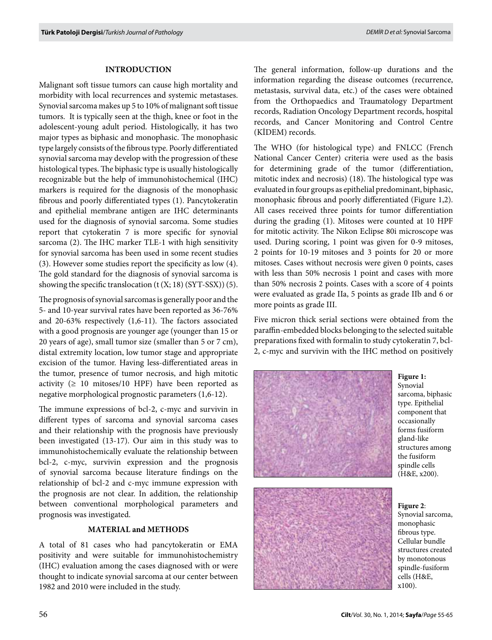#### **INTRODUCTION**

Malignant soft tissue tumors can cause high mortality and morbidity with local recurrences and systemic metastases. Synovial sarcoma makes up 5 to 10% of malignant soft tissue tumors. It is typically seen at the thigh, knee or foot in the adolescent-young adult period. Histologically, it has two major types as biphasic and monophasic. The monophasic type largely consists of the fibrous type. Poorly differentiated synovial sarcoma may develop with the progression of these histological types. The biphasic type is usually histologically recognizable but the help of immunohistochemical (IHC) markers is required for the diagnosis of the monophasic fibrous and poorly differentiated types (1). Pancytokeratin and epithelial membrane antigen are IHC determinants used for the diagnosis of synovial sarcoma. Some studies report that cytokeratin 7 is more specific for synovial sarcoma (2). The IHC marker TLE-1 with high sensitivity for synovial sarcoma has been used in some recent studies (3). However some studies report the specificity as low (4). The gold standard for the diagnosis of synovial sarcoma is showing the specific translocation  $(t(X; 18) (SYT-SSX))$  (5).

The prognosis of synovial sarcomas is generally poor and the 5- and 10-year survival rates have been reported as 36-76% and 20-63% respectively (1,6-11). The factors associated with a good prognosis are younger age (younger than 15 or 20 years of age), small tumor size (smaller than 5 or 7 cm), distal extremity location, low tumor stage and appropriate excision of the tumor. Having less-differentiated areas in the tumor, presence of tumor necrosis, and high mitotic activity  $(≥ 10$  mitoses/10 HPF) have been reported as negative morphological prognostic parameters (1,6-12).

The immune expressions of bcl-2, c-myc and survivin in different types of sarcoma and synovial sarcoma cases and their relationship with the prognosis have previously been investigated (13-17). Our aim in this study was to immunohistochemically evaluate the relationship between bcl-2, c-myc, survivin expression and the prognosis of synovial sarcoma because literature findings on the relationship of bcl-2 and c-myc immune expression with the prognosis are not clear. In addition, the relationship between conventional morphological parameters and prognosis was investigated.

#### **MATERIAL and METHODS**

A total of 81 cases who had pancytokeratin or EMA positivity and were suitable for immunohistochemistry (IHC) evaluation among the cases diagnosed with or were thought to indicate synovial sarcoma at our center between 1982 and 2010 were included in the study.

The general information, follow-up durations and the information regarding the disease outcomes (recurrence, metastasis, survival data, etc.) of the cases were obtained from the Orthopaedics and Traumatology Department records, Radiation Oncology Department records, hospital records, and Cancer Monitoring and Control Centre (KİDEM) records.

The WHO (for histological type) and FNLCC (French National Cancer Center) criteria were used as the basis for determining grade of the tumor (differentiation, mitotic index and necrosis) (18). The histological type was evaluated in four groups as epithelial predominant, biphasic, monophasic fibrous and poorly differentiated (Figure 1,2). All cases received three points for tumor differentiation during the grading (1). Mitoses were counted at 10 HPF for mitotic activity. The Nikon Eclipse 80i microscope was used. During scoring, 1 point was given for 0-9 mitoses, 2 points for 10-19 mitoses and 3 points for 20 or more mitoses. Cases without necrosis were given 0 points, cases with less than 50% necrosis 1 point and cases with more than 50% necrosis 2 points. Cases with a score of 4 points were evaluated as grade IIa, 5 points as grade IIb and 6 or more points as grade III.

Five micron thick serial sections were obtained from the paraffin-embedded blocks belonging to the selected suitable preparations fixed with formalin to study cytokeratin 7, bcl-2, c-myc and survivin with the IHC method on positively



**Figure 1:** Synovial sarcoma, biphasic type. Epithelial component that occasionally forms fusiform gland-like structures among the fusiform spindle cells (H&E, x200).



**Figure 2**: Synovial sarcoma, monophasic fibrous type. Cellular bundle structures created by monotonous spindle-fusiform cells (H&E, x100).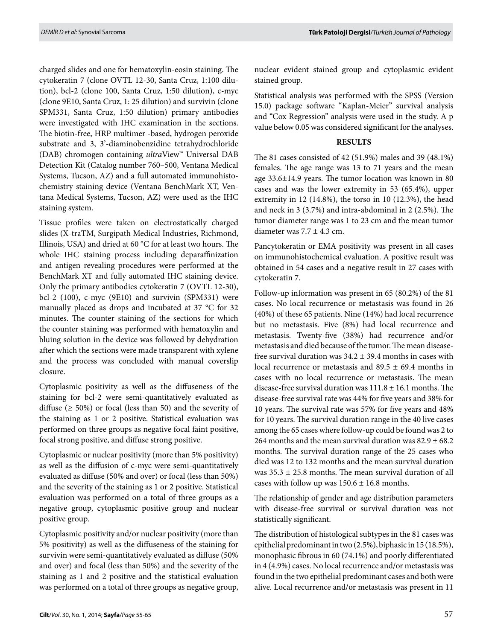charged slides and one for hematoxylin-eosin staining. The cytokeratin 7 (clone OVTL 12-30, Santa Cruz, 1:100 dilution), bcl-2 (clone 100, Santa Cruz, 1:50 dilution), c-myc (clone 9E10, Santa Cruz, 1: 25 dilution) and survivin (clone SPM331, Santa Cruz, 1:50 dilution) primary antibodies were investigated with IHC examination in the sections. The biotin-free, HRP multimer -based, hydrogen peroxide substrate and 3, 3'-diaminobenzidine tetrahydrochloride (DAB) chromogen containing *ultra*View™ Universal DAB Detection Kit (Catalog number 760–500, Ventana Medical Systems, Tucson, AZ) and a full automated immunohistochemistry staining device (Ventana BenchMark XT, Ventana Medical Systems, Tucson, AZ) were used as the IHC staining system.

Tissue profiles were taken on electrostatically charged slides (X-traTM, Surgipath Medical Industries, Richmond, Illinois, USA) and dried at 60 °C for at least two hours. The whole IHC staining process including deparaffinization and antigen revealing procedures were performed at the BenchMark XT and fully automated IHC staining device. Only the primary antibodies cytokeratin 7 (OVTL 12-30), bcl-2 (100), c-myc (9E10) and survivin (SPM331) were manually placed as drops and incubated at 37 °C for 32 minutes. The counter staining of the sections for which the counter staining was performed with hematoxylin and bluing solution in the device was followed by dehydration after which the sections were made transparent with xylene and the process was concluded with manual coverslip closure.

Cytoplasmic positivity as well as the diffuseness of the staining for bcl-2 were semi-quantitatively evaluated as diffuse ( $\geq 50\%$ ) or focal (less than 50) and the severity of the staining as 1 or 2 positive. Statistical evaluation was performed on three groups as negative focal faint positive, focal strong positive, and diffuse strong positive.

Cytoplasmic or nuclear positivity (more than 5% positivity) as well as the diffusion of c-myc were semi-quantitatively evaluated as diffuse (50% and over) or focal (less than 50%) and the severity of the staining as 1 or 2 positive. Statistical evaluation was performed on a total of three groups as a negative group, cytoplasmic positive group and nuclear positive group.

Cytoplasmic positivity and/or nuclear positivity (more than 5% positivity) as well as the diffuseness of the staining for survivin were semi-quantitatively evaluated as diffuse (50% and over) and focal (less than 50%) and the severity of the staining as 1 and 2 positive and the statistical evaluation was performed on a total of three groups as negative group, nuclear evident stained group and cytoplasmic evident stained group.

Statistical analysis was performed with the SPSS (Version 15.0) package software "Kaplan-Meier" survival analysis and "Cox Regression" analysis were used in the study. A p value below 0.05 was considered significant for the analyses.

## **RESULTS**

The 81 cases consisted of 42 (51.9%) males and 39 (48.1%) females. The age range was 13 to 71 years and the mean age 33.6±14.9 years. The tumor location was known in 80 cases and was the lower extremity in 53 (65.4%), upper extremity in 12 (14.8%), the torso in 10 (12.3%), the head and neck in 3 (3.7%) and intra-abdominal in 2 (2.5%). The tumor diameter range was 1 to 23 cm and the mean tumor diameter was  $7.7 \pm 4.3$  cm.

Pancytokeratin or EMA positivity was present in all cases on immunohistochemical evaluation. A positive result was obtained in 54 cases and a negative result in 27 cases with cytokeratin 7.

Follow-up information was present in 65 (80.2%) of the 81 cases. No local recurrence or metastasis was found in 26 (40%) of these 65 patients. Nine (14%) had local recurrence but no metastasis. Five (8%) had local recurrence and metastasis. Twenty-five (38%) had recurrence and/or metastasis and died because of the tumor. The mean diseasefree survival duration was  $34.2 \pm 39.4$  months in cases with local recurrence or metastasis and  $89.5 \pm 69.4$  months in cases with no local recurrence or metastasis. The mean disease-free survival duration was  $111.8 \pm 16.1$  months. The disease-free survival rate was 44% for five years and 38% for 10 years. The survival rate was 57% for five years and 48% for 10 years. The survival duration range in the 40 live cases among the 65 cases where follow-up could be found was 2 to 264 months and the mean survival duration was  $82.9 \pm 68.2$ months. The survival duration range of the 25 cases who died was 12 to 132 months and the mean survival duration was  $35.3 \pm 25.8$  months. The mean survival duration of all cases with follow up was  $150.6 \pm 16.8$  months.

The relationship of gender and age distribution parameters with disease-free survival or survival duration was not statistically significant.

The distribution of histological subtypes in the 81 cases was epithelial predominant in two (2.5%), biphasic in 15 (18.5%), monophasic fibrous in 60 (74.1%) and poorly differentiated in 4 (4.9%) cases. No local recurrence and/or metastasis was found in the two epithelial predominant cases and both were alive. Local recurrence and/or metastasis was present in 11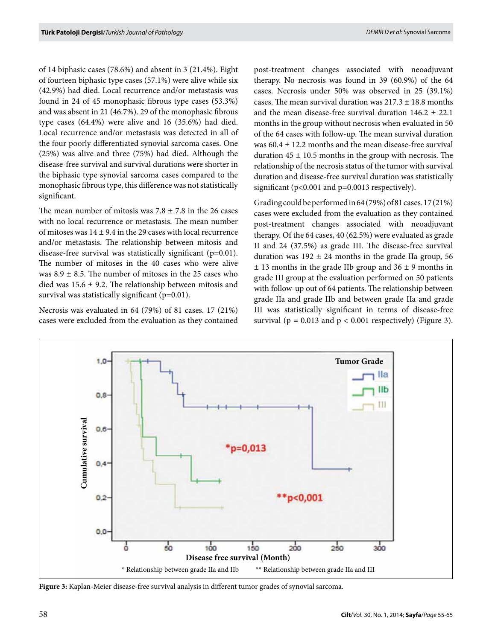of 14 biphasic cases (78.6%) and absent in 3 (21.4%). Eight of fourteen biphasic type cases (57.1%) were alive while six (42.9%) had died. Local recurrence and/or metastasis was found in 24 of 45 monophasic fibrous type cases (53.3%) and was absent in 21 (46.7%). 29 of the monophasic fibrous type cases (64.4%) were alive and 16 (35.6%) had died. Local recurrence and/or metastasis was detected in all of the four poorly differentiated synovial sarcoma cases. One (25%) was alive and three (75%) had died. Although the disease-free survival and survival durations were shorter in the biphasic type synovial sarcoma cases compared to the monophasic fibrous type, this difference was not statistically significant.

The mean number of mitosis was  $7.8 \pm 7.8$  in the 26 cases with no local recurrence or metastasis. The mean number of mitoses was  $14 \pm 9.4$  in the 29 cases with local recurrence and/or metastasis. The relationship between mitosis and disease-free survival was statistically significant (p=0.01). The number of mitoses in the 40 cases who were alive was  $8.9 \pm 8.5$ . The number of mitoses in the 25 cases who died was  $15.6 \pm 9.2$ . The relationship between mitosis and survival was statistically significant (p=0.01).

Necrosis was evaluated in 64 (79%) of 81 cases. 17 (21%) cases were excluded from the evaluation as they contained post-treatment changes associated with neoadjuvant therapy. No necrosis was found in 39 (60.9%) of the 64 cases. Necrosis under 50% was observed in 25 (39.1%) cases. The mean survival duration was  $217.3 \pm 18.8$  months and the mean disease-free survival duration  $146.2 \pm 22.1$ months in the group without necrosis when evaluated in 50 of the 64 cases with follow-up. The mean survival duration was  $60.4 \pm 12.2$  months and the mean disease-free survival duration  $45 \pm 10.5$  months in the group with necrosis. The relationship of the necrosis status of the tumor with survival duration and disease-free survival duration was statistically significant ( $p<0.001$  and  $p=0.0013$  respectively).

Gradingcould be performed in 64 (79%) of 81 cases. 17 (21%) cases were excluded from the evaluation as they contained post-treatment changes associated with neoadjuvant therapy. Of the 64 cases, 40 (62.5%) were evaluated as grade II and 24 (37.5%) as grade III. The disease-free survival duration was  $192 \pm 24$  months in the grade IIa group, 56  $\pm$  13 months in the grade IIb group and 36  $\pm$  9 months in grade III group at the evaluation performed on 50 patients with follow-up out of 64 patients. The relationship between grade IIa and grade IIb and between grade IIa and grade III was statistically significant in terms of disease-free survival ( $p = 0.013$  and  $p < 0.001$  respectively) (Figure 3).



**Figure 3:** Kaplan-Meier disease-free survival analysis in different tumor grades of synovial sarcoma.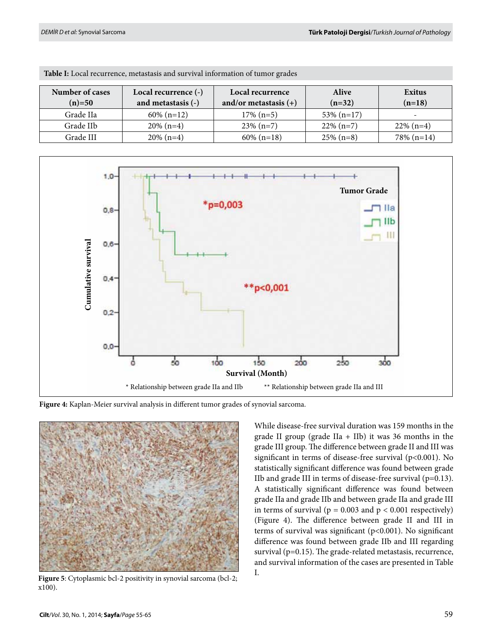| Number of cases | Local recurrence (-) | Local recurrence        | <b>Alive</b>  | Exitus        |  |
|-----------------|----------------------|-------------------------|---------------|---------------|--|
| $(n)=50$        | and metastasis (-)   | and/or metastasis $(+)$ | $(n=32)$      | $(n=18)$      |  |
| Grade IIa       | $60\%$ (n=12)        | $17\%$ (n=5)            | $53\%$ (n=17) | -             |  |
| Grade IIb       | $20\%$ (n=4)         | $23\%$ (n=7)            | $22\%$ (n=7)  | $22\%$ (n=4)  |  |
| Grade III       | $20\%$ (n=4)         | $60\%$ (n=18)           | $25\%$ (n=8)  | $78\%$ (n=14) |  |

**Table I:** Local recurrence, metastasis and survival information of tumor grades



**Figure 4:** Kaplan-Meier survival analysis in different tumor grades of synovial sarcoma.



**Figure 5**: Cytoplasmic bcl-2 positivity in synovial sarcoma (bcl-2; x100).

While disease-free survival duration was 159 months in the grade II group (grade IIa + IIb) it was 36 months in the grade III group. The difference between grade II and III was significant in terms of disease-free survival (p<0.001). No statistically significant difference was found between grade IIb and grade III in terms of disease-free survival  $(p=0.13)$ . A statistically significant difference was found between grade IIa and grade IIb and between grade IIa and grade III in terms of survival ( $p = 0.003$  and  $p < 0.001$  respectively) (Figure 4). The difference between grade II and III in terms of survival was significant (p<0.001). No significant difference was found between grade IIb and III regarding survival (p=0.15). The grade-related metastasis, recurrence, and survival information of the cases are presented in Table I.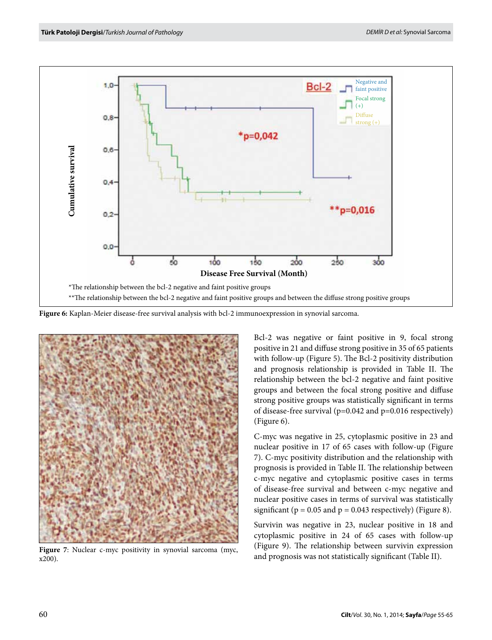

**Figure 6:** Kaplan-Meier disease-free survival analysis with bcl-2 immunoexpression in synovial sarcoma.



**Figure 7**: Nuclear c-myc positivity in synovial sarcoma (myc, x200).

Bcl-2 was negative or faint positive in 9, focal strong positive in 21 and diffuse strong positive in 35 of 65 patients with follow-up (Figure 5). The Bcl-2 positivity distribution and prognosis relationship is provided in Table II. The relationship between the bcl-2 negative and faint positive groups and between the focal strong positive and diffuse strong positive groups was statistically significant in terms of disease-free survival (p=0.042 and p=0.016 respectively) (Figure 6).

C-myc was negative in 25, cytoplasmic positive in 23 and nuclear positive in 17 of 65 cases with follow-up (Figure 7). C-myc positivity distribution and the relationship with prognosis is provided in Table II. The relationship between c-myc negative and cytoplasmic positive cases in terms of disease-free survival and between c-myc negative and nuclear positive cases in terms of survival was statistically significant ( $p = 0.05$  and  $p = 0.043$  respectively) (Figure 8).

Survivin was negative in 23, nuclear positive in 18 and cytoplasmic positive in 24 of 65 cases with follow-up (Figure 9). The relationship between survivin expression and prognosis was not statistically significant (Table II).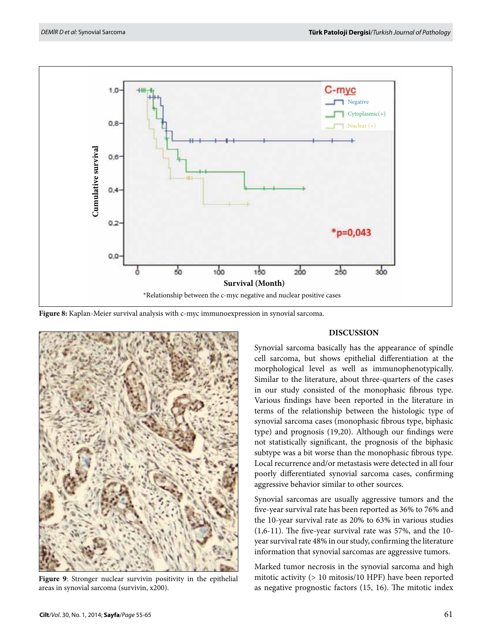

**Figure 8:** Kaplan-Meier survival analysis with c-myc immunoexpression in synovial sarcoma.



**Figure 9**: Stronger nuclear survivin positivity in the epithelial

## **DISCUSSION**

Synovial sarcoma basically has the appearance of spindle cell sarcoma, but shows epithelial differentiation at the morphological level as well as immunophenotypically. Similar to the literature, about three-quarters of the cases in our study consisted of the monophasic fibrous type. Various findings have been reported in the literature in terms of the relationship between the histologic type of synovial sarcoma cases (monophasic fibrous type, biphasic type) and prognosis (19,20). Although our findings were not statistically significant, the prognosis of the biphasic subtype was a bit worse than the monophasic fibrous type. Local recurrence and/or metastasis were detected in all four poorly differentiated synovial sarcoma cases, confirming aggressive behavior similar to other sources.

Synovial sarcomas are usually aggressive tumors and the five-year survival rate has been reported as 36% to 76% and the 10-year survival rate as 20% to 63% in various studies (1,6-11). The five-year survival rate was 57%, and the 10 year survival rate 48% in our study, confirming the literature information that synovial sarcomas are aggressive tumors.

Marked tumor necrosis in the synovial sarcoma and high mitotic activity (> 10 mitosis/10 HPF) have been reported as negative prognostic factors (15, 16). The mitotic index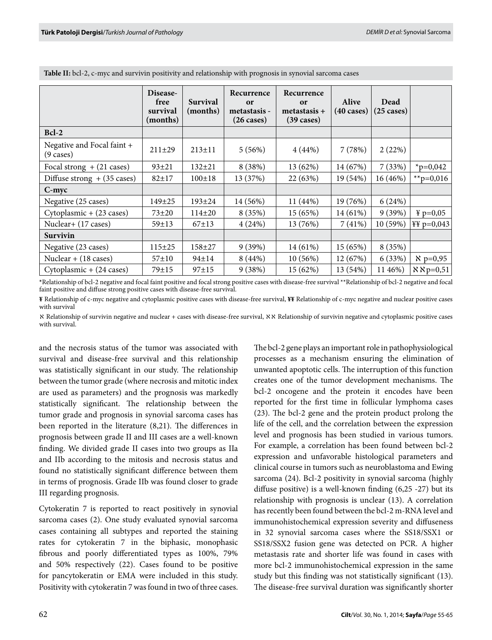|                                                   | Disease-<br>free<br>survival<br>(months) | <b>Survival</b><br>(months) | Recurrence<br>or<br>metastasis -<br>$(26 \text{ cases})$ | Recurrence<br>or<br>$metastasis +$<br>$(39 \text{ cases})$ | <b>Alive</b><br>$(40 \text{ cases})$ | Dead<br>$(25 \; \text{cases})$ |                        |
|---------------------------------------------------|------------------------------------------|-----------------------------|----------------------------------------------------------|------------------------------------------------------------|--------------------------------------|--------------------------------|------------------------|
| $Bcl-2$                                           |                                          |                             |                                                          |                                                            |                                      |                                |                        |
| Negative and Focal faint +<br>$(9 \text{ cases})$ | $211 \pm 29$                             | $213 \pm 11$                | 5(56%)                                                   | 4(44%)                                                     | 7(78%)                               | 2(22%)                         |                        |
| Focal strong $+$ (21 cases)                       | $93+21$                                  | $132 + 21$                  | 8 (38%)                                                  | 13 (62%)                                                   | 14 (67%)                             | 7(33%)                         | $*_{p=0,042}$          |
| Diffuse strong $+$ (35 cases)                     | $82 + 17$                                | $100 \pm 18$                | 13 (37%)                                                 | 22 (63%)                                                   | 19 (54%)                             | 16 (46%)                       | **p=0,016              |
| $C$ -myc                                          |                                          |                             |                                                          |                                                            |                                      |                                |                        |
| Negative (25 cases)                               | $149 + 25$                               | 193±24                      | 14 (56%)                                                 | 11 (44%)                                                   | 19 (76%)                             | 6(24%)                         |                        |
| Cytoplasmic + (23 cases)                          | $73 + 20$                                | $114\pm 20$                 | 8 (35%)                                                  | 15 (65%)                                                   | 14 (61%)                             | 9(39%)                         | ¥ $p=0,05$             |
| Nuclear+ (17 cases)                               | $59 \pm 13$                              | $67 + 13$                   | 4(24%)                                                   | 13 (76%)                                                   | 7(41%)                               | 10 (59%)                       | $\frac{44}{5}$ p=0,043 |
| Survivin                                          |                                          |                             |                                                          |                                                            |                                      |                                |                        |
| Negative (23 cases)                               | $115 \pm 25$                             | 158±27                      | 9(39%)                                                   | 14 (61%)                                                   | 15 (65%)                             | 8 (35%)                        |                        |
| Nuclear $+$ (18 cases)                            | $57 + 10$                                | 94±14                       | 8(44%)                                                   | 10(56%)                                                    | 12 (67%)                             | 6(33%)                         | $\chi$ p=0,95          |
| Cytoplasmic $+$ (24 cases)                        | $79 + 15$                                | $97 + 15$                   | 9(38%)                                                   | 15 (62%)                                                   | 13 (54%)                             | 11 46%)                        | $X \times p=0,51$      |

**Table II:** bcl-2, c-myc and survivin positivity and relationship with prognosis in synovial sarcoma cases

**\***Relationship of bcl-2 negative and focal faint positive and focal strong positive cases with disease-free survival \*\*Relationship of bcl-2 negative and focal faint positive and diffuse strong positive cases with disease-free survival.

**¥** Relationship of c-myc negative and cytoplasmic positive cases with disease-free survival, **¥¥** Relationship of c-myc negative and nuclear positive cases with survival

ℵ Relationship of survivin negative and nuclear + cases with disease-free survival, ℵℵ Relationship of survivin negative and cytoplasmic positive cases with survival.

and the necrosis status of the tumor was associated with survival and disease-free survival and this relationship was statistically significant in our study. The relationship between the tumor grade (where necrosis and mitotic index are used as parameters) and the prognosis was markedly statistically significant. The relationship between the tumor grade and prognosis in synovial sarcoma cases has been reported in the literature (8,21). The differences in prognosis between grade II and III cases are a well-known finding. We divided grade II cases into two groups as IIa and IIb according to the mitosis and necrosis status and found no statistically significant difference between them in terms of prognosis. Grade IIb was found closer to grade III regarding prognosis.

Cytokeratin 7 is reported to react positively in synovial sarcoma cases (2). One study evaluated synovial sarcoma cases containing all subtypes and reported the staining rates for cytokeratin 7 in the biphasic, monophasic fibrous and poorly differentiated types as 100%, 79% and 50% respectively (22). Cases found to be positive for pancytokeratin or EMA were included in this study. Positivity with cytokeratin 7 was found in two of three cases.

The bcl-2 gene plays an important role in pathophysiological processes as a mechanism ensuring the elimination of unwanted apoptotic cells. The interruption of this function creates one of the tumor development mechanisms. The bcl-2 oncogene and the protein it encodes have been reported for the first time in follicular lymphoma cases (23). The bcl-2 gene and the protein product prolong the life of the cell, and the correlation between the expression level and prognosis has been studied in various tumors. For example, a correlation has been found between bcl-2 expression and unfavorable histological parameters and clinical course in tumors such as neuroblastoma and Ewing sarcoma (24). Bcl-2 positivity in synovial sarcoma (highly diffuse positive) is a well-known finding (6,25 -27) but its relationship with prognosis is unclear (13). A correlation has recently been found between the bcl-2 m-RNA level and immunohistochemical expression severity and diffuseness in 32 synovial sarcoma cases where the SS18/SSX1 or SS18/SSX2 fusion gene was detected on PCR. A higher metastasis rate and shorter life was found in cases with more bcl-2 immunohistochemical expression in the same study but this finding was not statistically significant (13). The disease-free survival duration was significantly shorter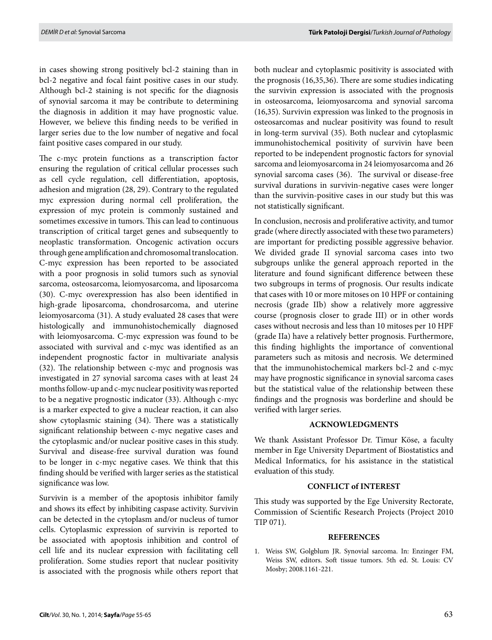in cases showing strong positively bcl-2 staining than in bcl-2 negative and focal faint positive cases in our study. Although bcl-2 staining is not specific for the diagnosis of synovial sarcoma it may be contribute to determining the diagnosis in addition it may have prognostic value. However, we believe this finding needs to be verified in larger series due to the low number of negative and focal faint positive cases compared in our study.

The c-myc protein functions as a transcription factor ensuring the regulation of critical cellular processes such as cell cycle regulation, cell differentiation, apoptosis, adhesion and migration (28, 29). Contrary to the regulated myc expression during normal cell proliferation, the expression of myc protein is commonly sustained and sometimes excessive in tumors. This can lead to continuous transcription of critical target genes and subsequently to neoplastic transformation. Oncogenic activation occurs through gene amplification and chromosomal translocation. C-myc expression has been reported to be associated with a poor prognosis in solid tumors such as synovial sarcoma, osteosarcoma, leiomyosarcoma, and liposarcoma (30). C-myc overexpression has also been identified in high-grade liposarcoma, chondrosarcoma, and uterine leiomyosarcoma (31). A study evaluated 28 cases that were histologically and immunohistochemically diagnosed with leiomyosarcoma. C-myc expression was found to be associated with survival and c-myc was identified as an independent prognostic factor in multivariate analysis (32). The relationship between c-myc and prognosis was investigated in 27 synovial sarcoma cases with at least 24 months follow-up and c-myc nuclear positivity was reported to be a negative prognostic indicator (33). Although c-myc is a marker expected to give a nuclear reaction, it can also show cytoplasmic staining (34). There was a statistically significant relationship between c-myc negative cases and the cytoplasmic and/or nuclear positive cases in this study. Survival and disease-free survival duration was found to be longer in c-myc negative cases. We think that this finding should be verified with larger series as the statistical significance was low.

Survivin is a member of the apoptosis inhibitor family and shows its effect by inhibiting caspase activity. Survivin can be detected in the cytoplasm and/or nucleus of tumor cells. Cytoplasmic expression of survivin is reported to be associated with apoptosis inhibition and control of cell life and its nuclear expression with facilitating cell proliferation. Some studies report that nuclear positivity is associated with the prognosis while others report that both nuclear and cytoplasmic positivity is associated with the prognosis (16,35,36). There are some studies indicating the survivin expression is associated with the prognosis in osteosarcoma, leiomyosarcoma and synovial sarcoma (16,35). Survivin expression was linked to the prognosis in osteosarcomas and nuclear positivity was found to result in long-term survival (35). Both nuclear and cytoplasmic immunohistochemical positivity of survivin have been reported to be independent prognostic factors for synovial sarcoma and leiomyosarcoma in 24 leiomyosarcoma and 26 synovial sarcoma cases (36). The survival or disease-free survival durations in survivin-negative cases were longer than the survivin-positive cases in our study but this was not statistically significant.

In conclusion, necrosis and proliferative activity, and tumor grade (where directly associated with these two parameters) are important for predicting possible aggressive behavior. We divided grade II synovial sarcoma cases into two subgroups unlike the general approach reported in the literature and found significant difference between these two subgroups in terms of prognosis. Our results indicate that cases with 10 or more mitoses on 10 HPF or containing necrosis (grade IIb) show a relatively more aggressive course (prognosis closer to grade III) or in other words cases without necrosis and less than 10 mitoses per 10 HPF (grade IIa) have a relatively better prognosis. Furthermore, this finding highlights the importance of conventional parameters such as mitosis and necrosis. We determined that the immunohistochemical markers bcl-2 and c-myc may have prognostic significance in synovial sarcoma cases but the statistical value of the relationship between these findings and the prognosis was borderline and should be verified with larger series.

## **ACKNOWLEDGMENTS**

We thank Assistant Professor Dr. Timur Köse, a faculty member in Ege University Department of Biostatistics and Medical Informatics, for his assistance in the statistical evaluation of this study.

## **CONFLICT of INTEREST**

This study was supported by the Ege University Rectorate, Commission of Scientific Research Projects (Project 2010 TIP 071).

## **REFERENCES**

1. Weiss SW, Golgblum JR. Synovial sarcoma. In: Enzinger FM, Weiss SW, editors. Soft tissue tumors. 5th ed. St. Louis: CV Mosby; 2008.1161-221.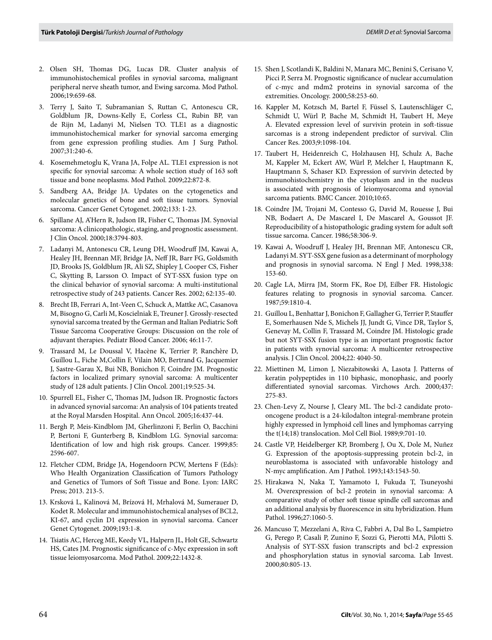- 2. Olsen SH, Thomas DG, Lucas DR. Cluster analysis of immunohistochemical profiles in synovial sarcoma, malignant peripheral nerve sheath tumor, and Ewing sarcoma. Mod Pathol. 2006;19:659-68.
- 3. Terry J, Saito T, Subramanian S, Ruttan C, Antonescu CR, Goldblum JR, Downs-Kelly E, Corless CL, Rubin BP, van de Rijn M, Ladanyi M, Nielsen TO. TLE1 as a diagnostic immunohistochemical marker for synovial sarcoma emerging from gene expression profiling studies. Am J Surg Pathol. 2007;31:240-6.
- 4. Kosemehmetoglu K, Vrana JA, Folpe AL. TLE1 expression is not specific for synovial sarcoma: A whole section study of 163 soft tissue and bone neoplasms. Mod Pathol. 2009;22:872-8.
- 5. Sandberg AA, Bridge JA. Updates on the cytogenetics and molecular genetics of bone and soft tissue tumors. Synovial sarcoma. Cancer Genet Cytogenet. 2002;133: 1-23.
- 6. Spillane AJ, A'Hern R, Judson IR, Fisher C, Thomas JM. Synovial sarcoma: A clinicopathologic, staging, and prognostic assessment. J Clin Oncol. 2000;18:3794-803.
- 7. Ladanyi M, Antonescu CR, Leung DH, Woodruff JM, Kawai A, Healey JH, Brennan MF, Bridge JA, Neff JR, Barr FG, Goldsmith JD, Brooks JS, Goldblum JR, Ali SZ, Shipley J, Cooper CS, Fisher C, Skytting B, Larsson O. Impact of SYT-SSX fusion type on the clinical behavior of synovial sarcoma: A multi-institutional retrospective study of 243 patients. Cancer Res. 2002; 62:135-40.
- 8. Brecht IB, Ferrari A, Int-Veen C, Schuck A, Mattke AC, Casanova M, Bisogno G, Carli M, Koscielniak E, Treuner J. Grossly-resected synovial sarcoma treated by the German and Italian Pediatric Soft Tissue Sarcoma Cooperative Groups: Discussion on the role of adjuvant therapies. Pediatr Blood Cancer. 2006; 46:11-7.
- 9. Trassard M, Le Doussal V, Hacène K, Terrier P, Ranchère D, Guillou L, Fiche M,Collin F, Vilain MO, Bertrand G, Jacquemier J, Sastre-Garau X, Bui NB, Bonichon F, Coindre JM. Prognostic factors in localized primary synovial sarcoma: A multicenter study of 128 adult patients. J Clin Oncol. 2001;19:525-34.
- 10. Spurrell EL, Fisher C, Thomas JM, Judson IR. Prognostic factors in advanced synovial sarcoma: An analysis of 104 patients treated at the Royal Marsden Hospital. Ann Oncol. 2005;16:437-44.
- 11. Bergh P, Meis-Kindblom JM, Gherlinzoni F, Berlin O, Bacchini P, Bertoni F, Gunterberg B, Kindblom LG. Synovial sarcoma: Identification of low and high risk groups. Cancer. 1999;85: 2596-607.
- 12. Fletcher CDM, Bridge JA, Hogendoorn PCW, Mertens F (Eds): Who Health Organization Classification of Tumors Pathology and Genetics of Tumors of Soft Tissue and Bone. Lyon: IARC Press; 2013. 213-5.
- 13. Krsková L, Kalinová M, Brízová H, Mrhalová M, Sumerauer D, Kodet R. Molecular and immunohistochemical analyses of BCL2, KI-67, and cyclin D1 expression in synovial sarcoma. Cancer Genet Cytogenet. 2009;193:1-8.
- 14. Tsiatis AC, Herceg ME, Keedy VL, Halpern JL, Holt GE, Schwartz HS, Cates JM. Prognostic significance of c-Myc expression in soft tissue leiomyosarcoma. Mod Pathol. 2009;22:1432-8.
- 15. Shen J, Scotlandi K, Baldini N, Manara MC, Benini S, Cerisano V, Picci P, Serra M. Prognostic significance of nuclear accumulation of c-myc and mdm2 proteins in synovial sarcoma of the extremities. Oncology. 2000;58:253-60.
- 16. Kappler M, Kotzsch M, Bartel F, Füssel S, Lautenschläger C, Schmidt U, Würl P, Bache M, Schmidt H, Taubert H, Meye A. Elevated expression level of survivin protein in soft-tissue sarcomas is a strong independent predictor of survival. Clin Cancer Res. 2003;9:1098-104.
- 17. Taubert H, Heidenreich C, Holzhausen HJ, Schulz A, Bache M, Kappler M, Eckert AW, Würl P, Melcher I, Hauptmann K, Hauptmann S, Schaser KD. Expression of survivin detected by immunohistochemistry in the cytoplasm and in the nucleus is associated with prognosis of leiomyosarcoma and synovial sarcoma patients. BMC Cancer. 2010;10:65.
- 18. Coindre JM, Trojani M, Contesso G, David M, Rouesse J, Bui NB, Bodaert A, De Mascarel I, De Mascarel A, Goussot JF. Reproducibility of a histopathologic grading system for adult soft tissue sarcoma. Cancer. 1986;58:306-9.
- 19. Kawai A, Woodruff J, Healey JH, Brennan MF, Antonescu CR, Ladanyi M. SYT-SSX gene fusion as a determinant of morphology and prognosis in synovial sarcoma. N Engl J Med. 1998;338: 153-60.
- 20. Cagle LA, Mirra JM, Storm FK, Roe DJ, Eilber FR. Histologic features relating to prognosis in synovial sarcoma. Cancer. 1987;59:1810-4.
- 21. Guillou L, Benhattar J, Bonichon F, Gallagher G, Terrier P, Stauffer E, Somerhausen Nde S, Michels JJ, Jundt G, Vince DR, Taylor S, Genevay M, Collin F, Trassard M, Coindre JM. Histologic grade but not SYT-SSX fusion type is an important prognostic factor in patients with synovial sarcoma: A multicenter retrospective analysis. J Clin Oncol. 2004;22: 4040-50.
- 22. Miettinen M, Limon J, Niezabitowski A, Lasota J. Patterns of keratin polypeptides in 110 biphasic, monophasic, and poorly differentiated synovial sarcomas. Virchows Arch. 2000;437: 275-83.
- 23. Chen-Levy Z, Nourse J, Cleary ML. The bcl-2 candidate protooncogene product is a 24-kilodalton integral-membrane protein highly expressed in lymphoid cell lines and lymphomas carrying the t(14;18) translocation. Mol Cell Biol. 1989;9:701-10.
- 24. Castle VP, Heidelberger KP, Bromberg J, Ou X, Dole M, Nuñez G. Expression of the apoptosis-suppressing protein bcl-2, in neuroblastoma is associated with unfavorable histology and N-myc amplification. Am J Pathol. 1993;143:1543-50.
- 25. Hirakawa N, Naka T, Yamamoto I, Fukuda T, Tsuneyoshi M. Overexpression of bcl-2 protein in synovial sarcoma: A comparative study of other soft tissue spindle cell sarcomas and an additional analysis by fluorescence in situ hybridization. Hum Pathol. 1996;27:1060-5.
- 26. Mancuso T, Mezzelani A, Riva C, Fabbri A, Dal Bo L, Sampietro G, Perego P, Casali P, Zunino F, Sozzi G, Pierotti MA, Pilotti S. Analysis of SYT-SSX fusion transcripts and bcl-2 expression and phosphorylation status in synovial sarcoma. Lab Invest. 2000;80:805-13.